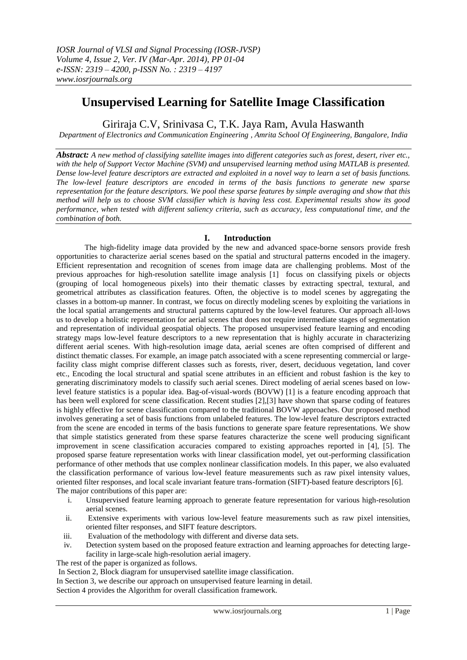# **Unsupervised Learning for Satellite Image Classification**

Giriraja C.V, Srinivasa C, T.K. Jaya Ram, Avula Haswanth

*Department of Electronics and Communication Engineering , Amrita School Of Engineering, Bangalore, India*

*Abstract: A new method of classifying satellite images into different categories such as forest, desert, river etc., with the help of Support Vector Machine (SVM) and unsupervised learning method using MATLAB is presented. Dense low-level feature descriptors are extracted and exploited in a novel way to learn a set of basis functions. The low-level feature descriptors are encoded in terms of the basis functions to generate new sparse representation for the feature descriptors. We pool these sparse features by simple averaging and show that this method will help us to choose SVM classifier which is having less cost. Experimental results show its good performance, when tested with different saliency criteria, such as accuracy, less computational time, and the combination of both.*

# **I. Introduction**

The high-fidelity image data provided by the new and advanced space-borne sensors provide fresh opportunities to characterize aerial scenes based on the spatial and structural patterns encoded in the imagery. Efficient representation and recognition of scenes from image data are challenging problems. Most of the previous approaches for high-resolution satellite image analysis [1] focus on classifying pixels or objects (grouping of local homogeneous pixels) into their thematic classes by extracting spectral, textural, and geometrical attributes as classification features. Often, the objective is to model scenes by aggregating the classes in a bottom-up manner. In contrast, we focus on directly modeling scenes by exploiting the variations in the local spatial arrangements and structural patterns captured by the low-level features. Our approach all-lows us to develop a holistic representation for aerial scenes that does not require intermediate stages of segmentation and representation of individual geospatial objects. The proposed unsupervised feature learning and encoding strategy maps low-level feature descriptors to a new representation that is highly accurate in characterizing different aerial scenes. With high-resolution image data, aerial scenes are often comprised of different and distinct thematic classes. For example, an image patch associated with a scene representing commercial or largefacility class might comprise different classes such as forests, river, desert, deciduous vegetation, land cover etc., Encoding the local structural and spatial scene attributes in an efficient and robust fashion is the key to generating discriminatory models to classify such aerial scenes. Direct modeling of aerial scenes based on lowlevel feature statistics is a popular idea. Bag-of-visual-words (BOVW) [1] is a feature encoding approach that has been well explored for scene classification. Recent studies [2],[3] have shown that sparse coding of features is highly effective for scene classification compared to the traditional BOVW approaches. Our proposed method involves generating a set of basis functions from unlabeled features. The low-level feature descriptors extracted from the scene are encoded in terms of the basis functions to generate spare feature representations. We show that simple statistics generated from these sparse features characterize the scene well producing significant improvement in scene classification accuracies compared to existing approaches reported in [4], [5]. The proposed sparse feature representation works with linear classification model, yet out-performing classification performance of other methods that use complex nonlinear classification models. In this paper, we also evaluated the classification performance of various low-level feature measurements such as raw pixel intensity values, oriented filter responses, and local scale invariant feature trans-formation (SIFT)-based feature descriptors [6]. The major contributions of this paper are:

- i. Unsupervised feature learning approach to generate feature representation for various high-resolution aerial scenes.
- ii. Extensive experiments with various low-level feature measurements such as raw pixel intensities, oriented filter responses, and SIFT feature descriptors.
- iii. Evaluation of the methodology with different and diverse data sets.
- iv. Detection system based on the proposed feature extraction and learning approaches for detecting largefacility in large-scale high-resolution aerial imagery.

The rest of the paper is organized as follows.

In Section 2, Block diagram for unsupervised satellite image classification.

In Section 3, we describe our approach on unsupervised feature learning in detail.

Section 4 provides the Algorithm for overall classification framework.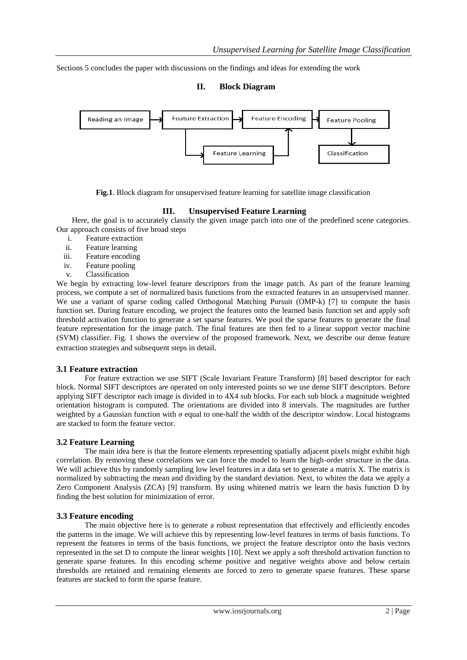Sections 5 concludes the paper with discussions on the findings and ideas for extending the work

### **II. Block Diagram**



**Fig.1**. Block diagram for unsupervised feature learning for satellite image classification

# **III. Unsupervised Feature Learning**

Here, the goal is to accurately classify the given image patch into one of the predefined scene categories. Our approach consists of five broad steps

- i. Feature extraction
- ii. Feature learning
- iii. Feature encoding
- iv. Feature pooling
- v. Classification

We begin by extracting low-level feature descriptors from the image patch. As part of the feature learning process, we compute a set of normalized basis functions from the extracted features in an unsupervised manner. We use a variant of sparse coding called Orthogonal Matching Pursuit (OMP-k) [7] to compute the basis function set. During feature encoding, we project the features onto the learned basis function set and apply soft threshold activation function to generate a set sparse features. We pool the sparse features to generate the final feature representation for the image patch. The final features are then fed to a linear support vector machine (SVM) classifier. Fig. 1 shows the overview of the proposed framework. Next, we describe our dense feature extraction strategies and subsequent steps in detail.

#### **3.1 Feature extraction**

For feature extraction we use SIFT (Scale Invariant Feature Transform) [8] based descriptor for each block. Normal SIFT descriptors are operated on only interested points so we use dense SIFT descriptors. Before applying SIFT descriptor each image is divided in to 4X4 sub blocks. For each sub block a magnitude weighted orientation histogram is computed. The orientations are divided into 8 intervals. The magnitudes are further weighted by a Gaussian function with *σ* equal to one-half the width of the descriptor window. Local histograms are stacked to form the feature vector.

#### **3.2 Feature Learning**

The main idea here is that the feature elements representing spatially adjacent pixels might exhibit high correlation. By removing these correlations we can force the model to learn the high-order structure in the data. We will achieve this by randomly sampling low level features in a data set to generate a matrix X. The matrix is normalized by subtracting the mean and dividing by the standard deviation. Next, to whiten the data we apply a Zero Component Analysis (ZCA) [9] transform. By using whitened matrix we learn the basis function D by finding the best solution for minimization of error.

#### **3.3 Feature encoding**

The main objective here is to generate a robust representation that effectively and efficiently encodes the patterns in the image. We will achieve this by representing low-level features in terms of basis functions. To represent the features in terms of the basis functions, we project the feature descriptor onto the basis vectors represented in the set D to compute the linear weights [10]. Next we apply a soft threshold activation function to generate sparse features. In this encoding scheme positive and negative weights above and below certain thresholds are retained and remaining elements are forced to zero to generate sparse features. These sparse features are stacked to form the sparse feature.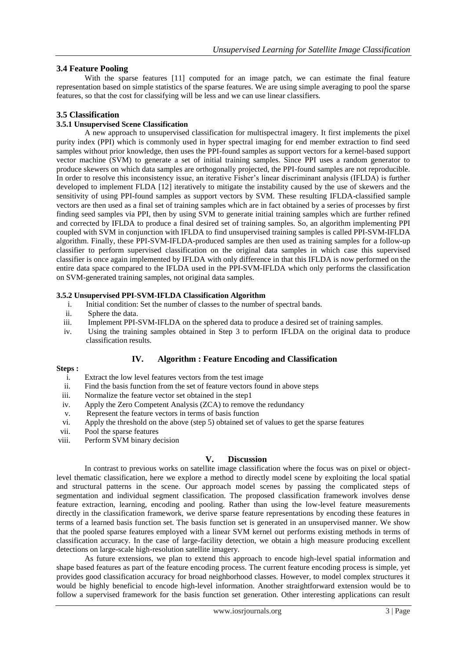## **3.4 Feature Pooling**

With the sparse features [11] computed for an image patch, we can estimate the final feature representation based on simple statistics of the sparse features. We are using simple averaging to pool the sparse features, so that the cost for classifying will be less and we can use linear classifiers.

### **3.5 Classification**

#### **3.5.1 Unsupervised Scene Classification**

A new approach to unsupervised classification for multispectral imagery. It first implements the pixel purity index (PPI) which is commonly used in hyper spectral imaging for end member extraction to find seed samples without prior knowledge, then uses the PPI-found samples as support vectors for a kernel-based support vector machine (SVM) to generate a set of initial training samples. Since PPI uses a random generator to produce skewers on which data samples are orthogonally projected, the PPI-found samples are not reproducible. In order to resolve this inconsistency issue, an iterative Fisher's linear discriminant analysis (IFLDA) is further developed to implement FLDA [12] iteratively to mitigate the instability caused by the use of skewers and the sensitivity of using PPI-found samples as support vectors by SVM. These resulting IFLDA-classified sample vectors are then used as a final set of training samples which are in fact obtained by a series of processes by first finding seed samples via PPI, then by using SVM to generate initial training samples which are further refined and corrected by IFLDA to produce a final desired set of training samples. So, an algorithm implementing PPI coupled with SVM in conjunction with IFLDA to find unsupervised training samples is called PPI-SVM-IFLDA algorithm. Finally, these PPI-SVM-IFLDA-produced samples are then used as training samples for a follow-up classifier to perform supervised classification on the original data samples in which case this supervised classifier is once again implemented by IFLDA with only difference in that this IFLDA is now performed on the entire data space compared to the IFLDA used in the PPI-SVM-IFLDA which only performs the classification on SVM-generated training samples, not original data samples.

#### **3.5.2 Unsupervised PPI-SVM-IFLDA Classification Algorithm**

- i. Initial condition: Set the number of classes to the number of spectral bands.
- ii. Sphere the data.
- iii. Implement PPI-SVM-IFLDA on the sphered data to produce a desired set of training samples.
- iv. Using the training samples obtained in Step 3 to perform IFLDA on the original data to produce classification results.

#### **IV. Algorithm : Feature Encoding and Classification**

#### **Steps :**

- i. Extract the low level features vectors from the test image
- ii. Find the basis function from the set of feature vectors found in above steps
- iii. Normalize the feature vector set obtained in the step1
- iv. Apply the Zero Competent Analysis (ZCA) to remove the redundancy
- v. Represent the feature vectors in terms of basis function
- vi. Apply the threshold on the above (step 5) obtained set of values to get the sparse features
- vii. Pool the sparse features
- viii. Perform SVM binary decision

#### **V. Discussion**

In contrast to previous works on satellite image classification where the focus was on pixel or objectlevel thematic classification, here we explore a method to directly model scene by exploiting the local spatial and structural patterns in the scene. Our approach model scenes by passing the complicated steps of segmentation and individual segment classification. The proposed classification framework involves dense feature extraction, learning, encoding and pooling. Rather than using the low-level feature measurements directly in the classification framework, we derive sparse feature representations by encoding these features in terms of a learned basis function set. The basis function set is generated in an unsupervised manner. We show that the pooled sparse features employed with a linear SVM kernel out performs existing methods in terms of classification accuracy. In the case of large-facility detection, we obtain a high measure producing excellent detections on large-scale high-resolution satellite imagery.

As future extensions, we plan to extend this approach to encode high-level spatial information and shape based features as part of the feature encoding process. The current feature encoding process is simple, yet provides good classification accuracy for broad neighborhood classes. However, to model complex structures it would be highly beneficial to encode high-level information. Another straightforward extension would be to follow a supervised framework for the basis function set generation. Other interesting applications can result